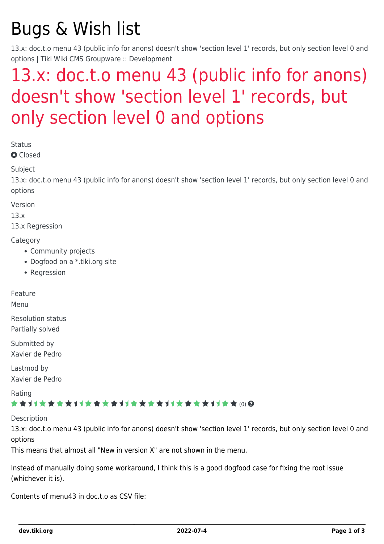# Bugs & Wish list

13.x: doc.t.o menu 43 (public info for anons) doesn't show 'section level 1' records, but only section level 0 and options | Tiki Wiki CMS Groupware :: Development

## [13.x: doc.t.o menu 43 \(public info for anons\)](https://dev.tiki.org/item5414-13-x-doc-t-o-menu-43-public-info-for-anons-doesn-t-show-section-level-1-records-but-only-section-level-0-and-options) [doesn't show 'section level 1' records, but](https://dev.tiki.org/item5414-13-x-doc-t-o-menu-43-public-info-for-anons-doesn-t-show-section-level-1-records-but-only-section-level-0-and-options) [only section level 0 and options](https://dev.tiki.org/item5414-13-x-doc-t-o-menu-43-public-info-for-anons-doesn-t-show-section-level-1-records-but-only-section-level-0-and-options)

Status

**a** Closed

**Subject** 

13.x: doc.t.o menu 43 (public info for anons) doesn't show 'section level 1' records, but only section level 0 and options

Version

13.x

13.x Regression

#### **Category**

- Community projects
- Dogfood on a \*.tiki.org site
- Regression

Feature

Menu

Resolution status Partially solved

Submitted by Xavier de Pedro

Lastmod by Xavier de Pedro

Rating

#### \*\*\*\*\*\*\*\*\*\*\*\*\*\*\*\*\*\*\*\*\*\*\*\*\*\*\*\*\*\*

**Description** 

13.x: doc.t.o menu 43 (public info for anons) doesn't show 'section level 1' records, but only section level 0 and options

This means that almost all "New in version X" are not shown in the menu.

Instead of manually doing some workaround, I think this is a good dogfood case for fixing the root issue (whichever it is).

Contents of menu43 in doc.t.o as CSV file: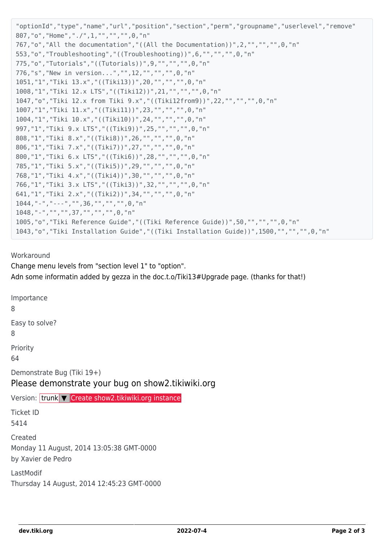```
"optionId","type","name","url","position","section","perm","groupname","userlevel","remove"
807,"o","Home","./",1,"","","",0,"n"
767,"o","All the documentation","((All the Documentation))",2,"","","",0,"n"
553,"o","Troubleshooting","((Troubleshooting))",6,"","","",0,"n"
775,"o","Tutorials","((Tutorials))",9,"","","",0,"n"
776,"s","New in version...","",12,"","","",0,"n"
1051,"1","Tiki 13.x","((Tiki13))",20,"","","",0,"n"
1008,"1","Tiki 12.x LTS","((Tiki12))",21,"","","",0,"n"
1047,"o","Tiki 12.x from Tiki 9.x","((Tiki12from9))",22,"","","",0,"n"
1007,"1","Tiki 11.x","((Tiki11))",23,"","","",0,"n"
1004,"1","Tiki 10.x","((Tiki10))",24,"","","",0,"n"
997,"1","Tiki 9.x LTS","((Tiki9))",25,"","","",0,"n"
808,"1","Tiki 8.x","((Tiki8))",26,"","","",0,"n"
806,"1","Tiki 7.x","((Tiki7))",27,"","","",0,"n"
800,"1","Tiki 6.x LTS","((Tiki6))",28,"","","",0,"n"
785,"1","Tiki 5.x","((Tiki5))",29,"","","",0,"n"
768,"1","Tiki 4.x","((Tiki4))",30,"","","",0,"n"
766,"1","Tiki 3.x LTS","((Tiki3))",32,"","","",0,"n"
641,"1","Tiki 2.x","((Tiki2))",34,"","","",0,"n"
1044,"-","---","",36,"","","",0,"n"
1048,"-","","",37,"","","",0,"n"
1005,"o","Tiki Reference Guide","((Tiki Reference Guide))",50,"","","",0,"n"
1043,"o","Tiki Installation Guide","((Tiki Installation Guide))",1500,"","","",0,"n"
```
#### Workaround

Change menu levels from "section level 1" to "option". Adn some informatin added by gezza in the doc.t.o/Tiki13#Upgrade page. (thanks for that!)

Importance 8 Easy to solve? 8 Priority 64 Demonstrate Bug (Tiki 19+) Please demonstrate your bug on show2.tikiwiki.org Version: trunk ▼ [Create show2.tikiwiki.org instance](#page--1-0) Ticket ID 5414 Created Monday 11 August, 2014 13:05:38 GMT-0000 by Xavier de Pedro LastModif Thursday 14 August, 2014 12:45:23 GMT-0000